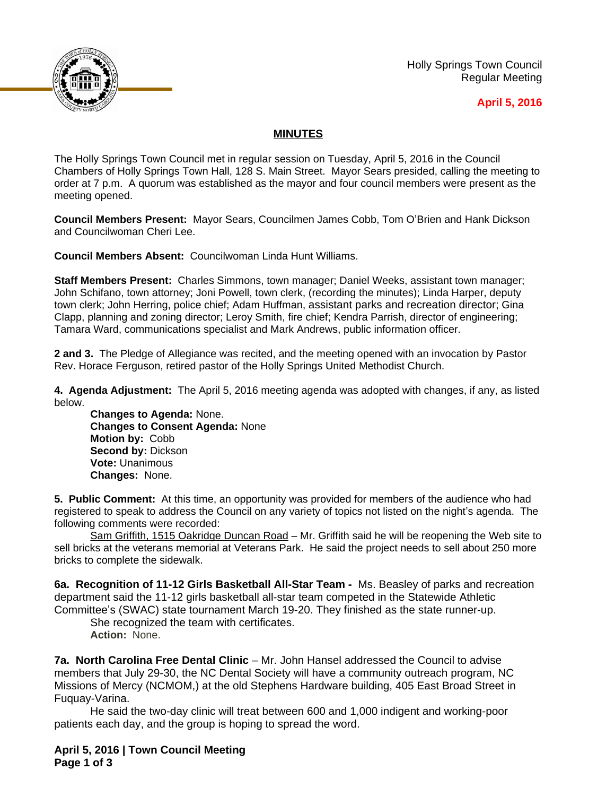

Holly Springs Town Council Regular Meeting

## **April 5, 2016**

## **MINUTES**

The Holly Springs Town Council met in regular session on Tuesday, April 5, 2016 in the Council Chambers of Holly Springs Town Hall, 128 S. Main Street. Mayor Sears presided, calling the meeting to order at 7 p.m. A quorum was established as the mayor and four council members were present as the meeting opened.

**Council Members Present:** Mayor Sears, Councilmen James Cobb, Tom O'Brien and Hank Dickson and Councilwoman Cheri Lee.

**Council Members Absent:** Councilwoman Linda Hunt Williams.

**Staff Members Present:** Charles Simmons, town manager; Daniel Weeks, assistant town manager; John Schifano, town attorney; Joni Powell, town clerk, (recording the minutes); Linda Harper, deputy town clerk; John Herring, police chief; Adam Huffman, assistant parks and recreation director; Gina Clapp, planning and zoning director; Leroy Smith, fire chief; Kendra Parrish, director of engineering; Tamara Ward, communications specialist and Mark Andrews, public information officer.

**2 and 3.** The Pledge of Allegiance was recited, and the meeting opened with an invocation by Pastor Rev. Horace Ferguson, retired pastor of the Holly Springs United Methodist Church.

**4. Agenda Adjustment:** The April 5, 2016 meeting agenda was adopted with changes, if any, as listed below.

**Changes to Agenda:** None. **Changes to Consent Agenda:** None **Motion by:** Cobb **Second by:** Dickson **Vote:** Unanimous **Changes:** None.

**5. Public Comment:** At this time, an opportunity was provided for members of the audience who had registered to speak to address the Council on any variety of topics not listed on the night's agenda. The following comments were recorded:

Sam Griffith, 1515 Oakridge Duncan Road - Mr. Griffith said he will be reopening the Web site to sell bricks at the veterans memorial at Veterans Park. He said the project needs to sell about 250 more bricks to complete the sidewalk.

**6a. Recognition of 11-12 Girls Basketball All-Star Team -** Ms. Beasley of parks and recreation department said the 11-12 girls basketball all-star team competed in the Statewide Athletic Committee's (SWAC) state tournament March 19-20. They finished as the state runner-up.

She recognized the team with certificates. **Action:** None.

**7a. North Carolina Free Dental Clinic** – Mr. John Hansel addressed the Council to advise members that July 29-30, the NC Dental Society will have a community outreach program, NC Missions of Mercy (NCMOM,) at the old Stephens Hardware building, 405 East Broad Street in Fuquay-Varina.

He said the two-day clinic will treat between 600 and 1,000 indigent and working-poor patients each day, and the group is hoping to spread the word.

**April 5, 2016 | Town Council Meeting Page 1 of 3**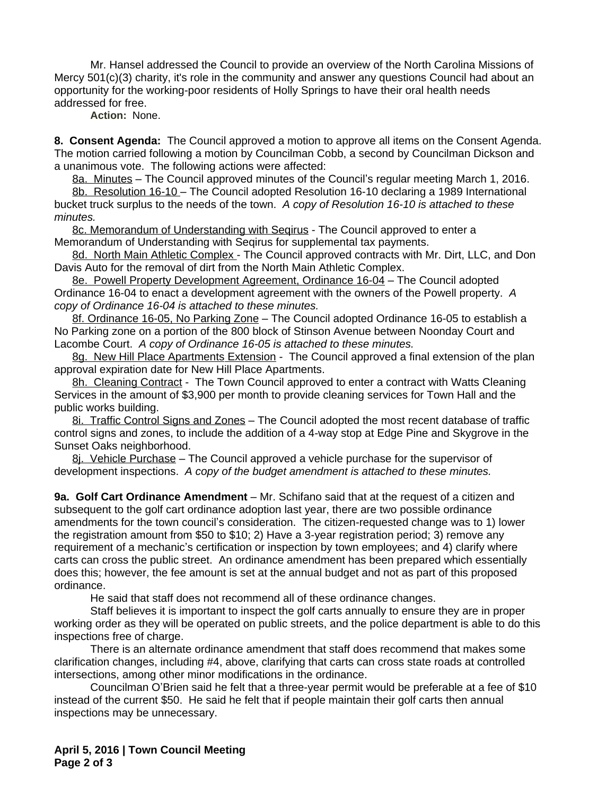Mr. Hansel addressed the Council to provide an overview of the North Carolina Missions of Mercy 501(c)(3) charity, it's role in the community and answer any questions Council had about an opportunity for the working-poor residents of Holly Springs to have their oral health needs addressed for free.

**Action:** None.

**8. Consent Agenda:** The Council approved a motion to approve all items on the Consent Agenda. The motion carried following a motion by Councilman Cobb, a second by Councilman Dickson and a unanimous vote. The following actions were affected:

8a. Minutes – The Council approved minutes of the Council's regular meeting March 1, 2016.

8b. Resolution 16-10 – The Council adopted Resolution 16-10 declaring a 1989 International bucket truck surplus to the needs of the town. *A copy of Resolution 16-10 is attached to these minutes.* 

8c. Memorandum of Understanding with Seqirus - The Council approved to enter a Memorandum of Understanding with Seqirus for supplemental tax payments.

8d. North Main Athletic Complex - The Council approved contracts with Mr. Dirt, LLC, and Don Davis Auto for the removal of dirt from the North Main Athletic Complex.

8e. Powell Property Development Agreement, Ordinance 16-04 – The Council adopted Ordinance 16-04 to enact a development agreement with the owners of the Powell property. *A copy of Ordinance 16-04 is attached to these minutes.*

8f. Ordinance 16-05, No Parking Zone – The Council adopted Ordinance 16-05 to establish a No Parking zone on a portion of the 800 block of Stinson Avenue between Noonday Court and Lacombe Court. *A copy of Ordinance 16-05 is attached to these minutes.*

8g. New Hill Place Apartments Extension - The Council approved a final extension of the plan approval expiration date for New Hill Place Apartments.

8h. Cleaning Contract - The Town Council approved to enter a contract with Watts Cleaning Services in the amount of \$3,900 per month to provide cleaning services for Town Hall and the public works building.

8i. Traffic Control Signs and Zones – The Council adopted the most recent database of traffic control signs and zones, to include the addition of a 4-way stop at Edge Pine and Skygrove in the Sunset Oaks neighborhood.

8j. Vehicle Purchase – The Council approved a vehicle purchase for the supervisor of development inspections. *A copy of the budget amendment is attached to these minutes.*

**9a. Golf Cart Ordinance Amendment** – Mr. Schifano said that at the request of a citizen and subsequent to the golf cart ordinance adoption last year, there are two possible ordinance amendments for the town council's consideration. The citizen-requested change was to 1) lower the registration amount from \$50 to \$10; 2) Have a 3-year registration period; 3) remove any requirement of a mechanic's certification or inspection by town employees; and 4) clarify where carts can cross the public street. An ordinance amendment has been prepared which essentially does this; however, the fee amount is set at the annual budget and not as part of this proposed ordinance.

He said that staff does not recommend all of these ordinance changes.

Staff believes it is important to inspect the golf carts annually to ensure they are in proper working order as they will be operated on public streets, and the police department is able to do this inspections free of charge.

There is an alternate ordinance amendment that staff does recommend that makes some clarification changes, including #4, above, clarifying that carts can cross state roads at controlled intersections, among other minor modifications in the ordinance.

Councilman O'Brien said he felt that a three-year permit would be preferable at a fee of \$10 instead of the current \$50. He said he felt that if people maintain their golf carts then annual inspections may be unnecessary.

**April 5, 2016 | Town Council Meeting Page 2 of 3**